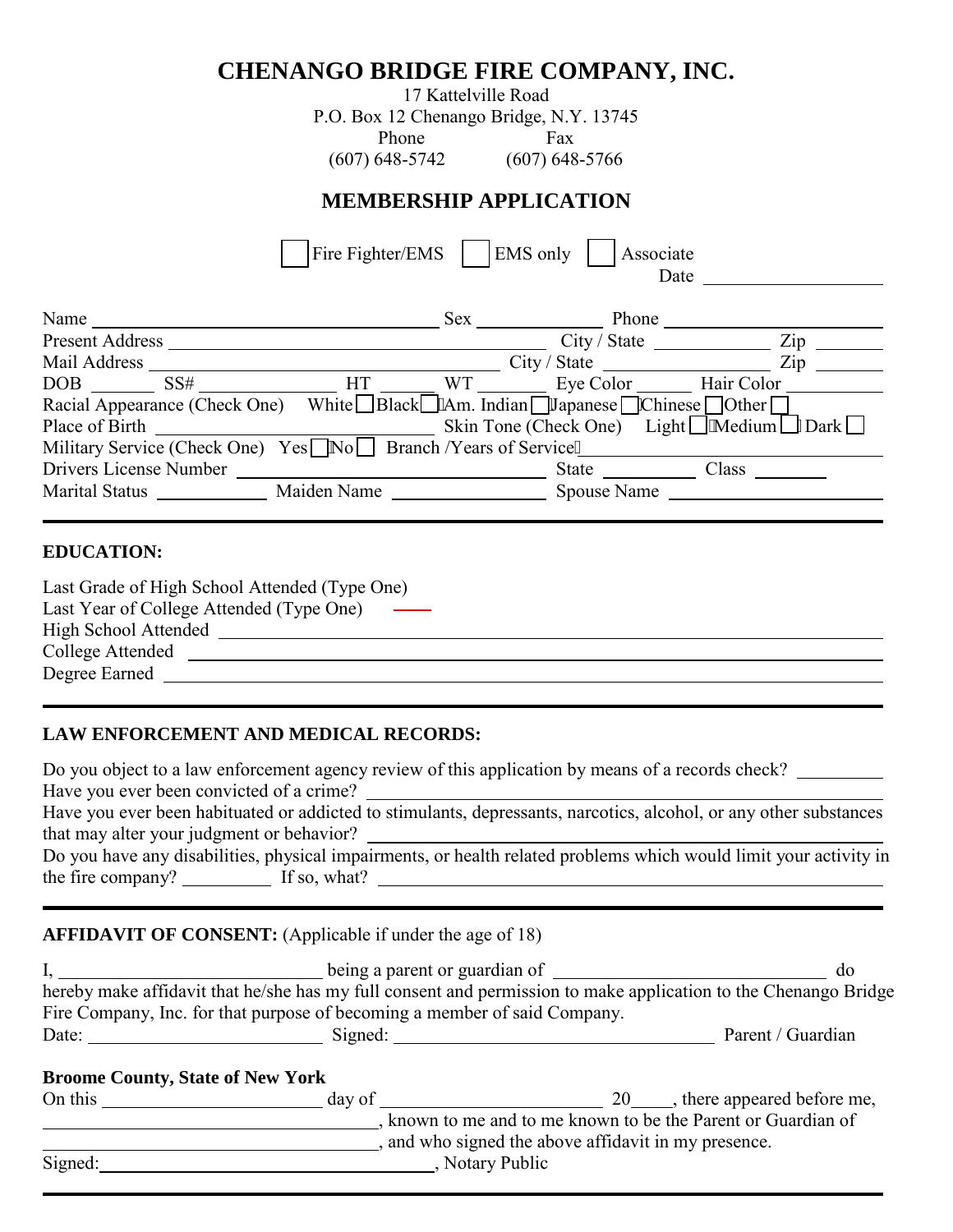# **CHENANGO BRIDGE FIRE COMPANY, INC.**

17 Kattelville Road

P.O. Box 12 Chenango Bridge, N.Y. 13745

Phone Fax

(607) 648-5742 (607) 648-5766

# **MEMBERSHIP APPLICATION**

|                                                                           | Fire Fighter/EMS                     | EMS only<br>Associate                             |                                                       |
|---------------------------------------------------------------------------|--------------------------------------|---------------------------------------------------|-------------------------------------------------------|
|                                                                           |                                      |                                                   | Date                                                  |
| Name $\overline{\phantom{a}}$                                             | Sex                                  | Phone                                             |                                                       |
| <b>Present Address</b>                                                    |                                      | City / State                                      | Zip                                                   |
| Mail Address                                                              |                                      |                                                   | $\mathop{\mathrm {Zip}}\nolimits$                     |
| $DOB$ $SS#$                                                               | $\frac{1}{\sqrt{1-\frac{1}{2}}}\$ HT | WT Eye Color Hair Color                           |                                                       |
| Racial Appearance (Check One)                                             |                                      | White Black T'Am. Indian J'Japanese Chinese Other |                                                       |
| Place of Birth                                                            |                                      |                                                   | Skin Tone (Check One) Light Wedium $\Box$ Dark $\Box$ |
| Military Service (Check One) $Yes \Box No \Box$ Branch /Years of Service" |                                      |                                                   |                                                       |
| Drivers License Number                                                    |                                      | State                                             | Class                                                 |
| Marital Status Maiden Name Spouse Name                                    |                                      |                                                   |                                                       |
|                                                                           |                                      |                                                   |                                                       |

## **EDUCATION:**

| Last Grade of High School Attended (Type One) |  |
|-----------------------------------------------|--|
| Last Year of College Attended (Type One)      |  |
| <b>High School Attended</b>                   |  |
| College Attended                              |  |
| Degree Earned                                 |  |
|                                               |  |

## **LAW ENFORCEMENT AND MEDICAL RECORDS:**

|                                                                                                                                                                                                                                                                                     | Do you object to a law enforcement agency review of this application by means of a records check?                                                                                            |  |  |  |
|-------------------------------------------------------------------------------------------------------------------------------------------------------------------------------------------------------------------------------------------------------------------------------------|----------------------------------------------------------------------------------------------------------------------------------------------------------------------------------------------|--|--|--|
| Have you ever been habituated or addicted to stimulants, depressants, narcotics, alcohol, or any other substances<br>that may alter your judgment or behavior?<br>Do you have any disabilities, physical impairments, or health related problems which would limit your activity in |                                                                                                                                                                                              |  |  |  |
|                                                                                                                                                                                                                                                                                     |                                                                                                                                                                                              |  |  |  |
|                                                                                                                                                                                                                                                                                     |                                                                                                                                                                                              |  |  |  |
|                                                                                                                                                                                                                                                                                     | hereby make affidavit that he/she has my full consent and permission to make application to the Chenango Bridge<br>Fire Company, Inc. for that purpose of becoming a member of said Company. |  |  |  |
|                                                                                                                                                                                                                                                                                     | Date: <u>National Signed: Signed: Signed: National Parent / Guardian</u>                                                                                                                     |  |  |  |
| <b>Broome County, State of New York</b>                                                                                                                                                                                                                                             |                                                                                                                                                                                              |  |  |  |
|                                                                                                                                                                                                                                                                                     |                                                                                                                                                                                              |  |  |  |
|                                                                                                                                                                                                                                                                                     | $\frac{1}{2}$ , known to me and to me known to be the Parent or Guardian of<br>and who signed the above affidavit in my presence.                                                            |  |  |  |
|                                                                                                                                                                                                                                                                                     | Signed: Notary Public                                                                                                                                                                        |  |  |  |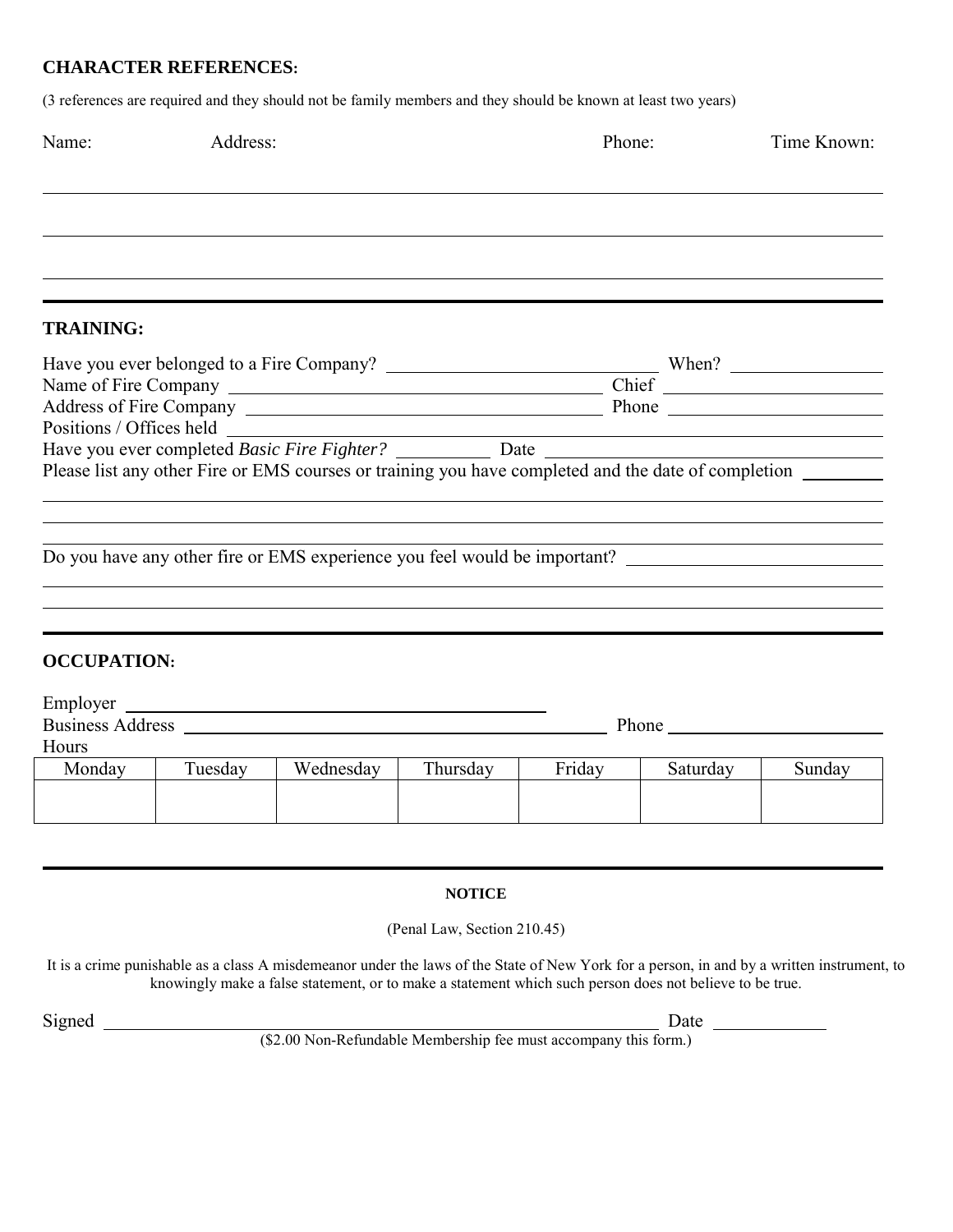#### **CHARACTER REFERENCES:**

(3 references are required and they should not be family members and they should be known at least two years)

| Name:                    | Address: |                                                                                                                     |               | Phone: |          | Time Known: |
|--------------------------|----------|---------------------------------------------------------------------------------------------------------------------|---------------|--------|----------|-------------|
|                          |          |                                                                                                                     |               |        |          |             |
|                          |          |                                                                                                                     |               |        |          |             |
|                          |          |                                                                                                                     |               |        |          |             |
| <b>TRAINING:</b>         |          |                                                                                                                     |               |        |          |             |
|                          |          |                                                                                                                     |               |        |          |             |
|                          |          |                                                                                                                     |               |        |          |             |
|                          |          |                                                                                                                     |               |        |          |             |
| Positions / Offices held |          |                                                                                                                     |               |        |          |             |
|                          |          |                                                                                                                     |               |        |          |             |
|                          |          | Please list any other Fire or EMS courses or training you have completed and the date of completion _________       |               |        |          |             |
|                          |          |                                                                                                                     |               |        |          |             |
|                          |          |                                                                                                                     |               |        |          |             |
|                          |          |                                                                                                                     |               |        |          |             |
|                          |          | Do you have any other fire or EMS experience you feel would be important?                                           |               |        |          |             |
|                          |          |                                                                                                                     |               |        |          |             |
|                          |          |                                                                                                                     |               |        |          |             |
|                          |          |                                                                                                                     |               |        |          |             |
| <b>OCCUPATION:</b>       |          |                                                                                                                     |               |        |          |             |
|                          |          |                                                                                                                     |               |        |          |             |
| Employer                 |          |                                                                                                                     |               |        |          |             |
|                          |          | <u> 1989 - Johann Barn, mars eta bat erroman erroman erroman erroman erroman ez erroman erroman ez erroman ez e</u> |               |        |          |             |
| Hours                    |          |                                                                                                                     |               |        |          |             |
| Monday                   | Tuesday  | Wednesday                                                                                                           | Thursday      | Friday | Saturday | Sunday      |
|                          |          |                                                                                                                     |               |        |          |             |
|                          |          |                                                                                                                     |               |        |          |             |
|                          |          |                                                                                                                     |               |        |          |             |
|                          |          |                                                                                                                     |               |        |          |             |
|                          |          |                                                                                                                     |               |        |          |             |
|                          |          |                                                                                                                     | <b>NOTICE</b> |        |          |             |

(Penal Law, Section 210.45)

It is a crime punishable as a class A misdemeanor under the laws of the State of New York for a person, in and by a written instrument, to knowingly make a false statement, or to make a statement which such person does not believe to be true.

Signed Date

(\$2.00 Non-Refundable Membership fee must accompany this form.)